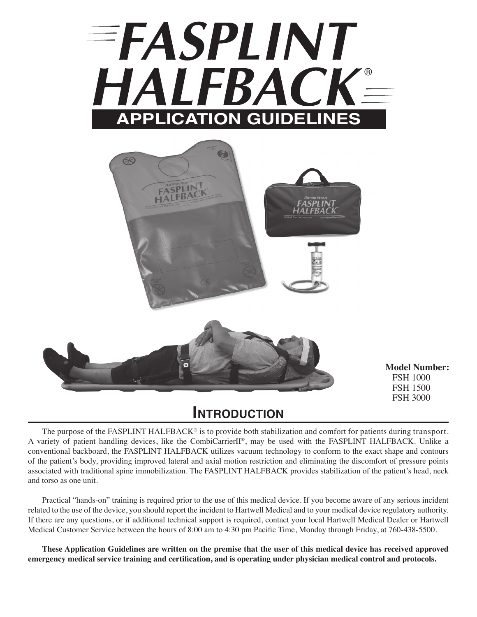



**Model Number:** FSH 1000 FSH 1500 FSH 3000

## **Introduction**

The purpose of the FASPLINT HALFBACK<sup>®</sup> is to provide both stabilization and comfort for patients during transport. A variety of patient handling devices, like the CombiCarrierII®, may be used with the FASPLINT HALFBACK. Unlike a conventional backboard, the FASPLINT HALFBACK utilizes vacuum technology to conform to the exact shape and contours of the patient's body, providing improved lateral and axial motion restriction and eliminating the discomfort of pressure points associated with traditional spine immobilization. The FASPLINT HALFBACK provides stabilization of the patient's head, neck and torso as one unit.

Practical "hands-on" training is required prior to the use of this medical device. If you become aware of any serious incident related to the use of the device, you should report the incident to Hartwell Medical and to your medical device regulatory authority. If there are any questions, or if additional technical support is required, contact your local Hartwell Medical Dealer or Hartwell Medical Customer Service between the hours of 8:00 am to 4:30 pm Pacific Time, Monday through Friday, at 760-438-5500.

**These Application Guidelines are written on the premise that the user of this medical device has received approved emergency medical service training and certification, and is operating under physician medical control and protocols.**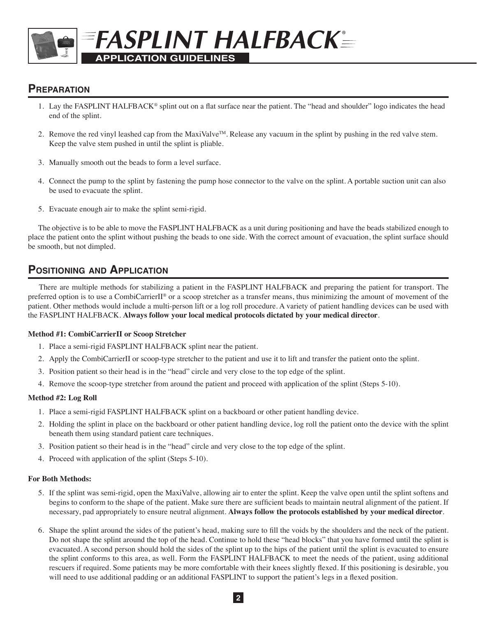# FASPLINT HALFBACK= **APPLICATION GUIDELINES**

### **Preparation**

- 1. Lay the FASPLINT HALFBACK® splint out on a flat surface near the patient. The "head and shoulder" logo indicates the head end of the splint.
- 2. Remove the red vinyl leashed cap from the MaxiValve<sup>TM</sup>. Release any vacuum in the splint by pushing in the red valve stem. Keep the valve stem pushed in until the splint is pliable.
- 3. Manually smooth out the beads to form a level surface.
- 4. Connect the pump to the splint by fastening the pump hose connector to the valve on the splint. A portable suction unit can also be used to evacuate the splint.
- 5. Evacuate enough air to make the splint semi-rigid.

The objective is to be able to move the FASPLINT HALFBACK as a unit during positioning and have the beads stabilized enough to place the patient onto the splint without pushing the beads to one side. With the correct amount of evacuation, the splint surface should be smooth, but not dimpled.

## **Positioning and Application**

There are multiple methods for stabilizing a patient in the FASPLINT HALFBACK and preparing the patient for transport. The preferred option is to use a CombiCarrierII® or a scoop stretcher as a transfer means, thus minimizing the amount of movement of the patient. Other methods would include a multi-person lift or a log roll procedure. A variety of patient handling devices can be used with the FASPLINT HALFBACK. **Always follow your local medical protocols dictated by your medical director**.

#### **Method #1: CombiCarrierII or Scoop Stretcher**

- 1. Place a semi-rigid FASPLINT HALFBACK splint near the patient.
- 2. Apply the CombiCarrierII or scoop-type stretcher to the patient and use it to lift and transfer the patient onto the splint.
- 3. Position patient so their head is in the "head" circle and very close to the top edge of the splint.
- 4. Remove the scoop-type stretcher from around the patient and proceed with application of the splint (Steps 5-10).

#### **Method #2: Log Roll**

- 1. Place a semi-rigid FASPLINT HALFBACK splint on a backboard or other patient handling device.
- 2. Holding the splint in place on the backboard or other patient handling device, log roll the patient onto the device with the splint beneath them using standard patient care techniques.
- 3. Position patient so their head is in the "head" circle and very close to the top edge of the splint.
- 4. Proceed with application of the splint (Steps 5-10).

#### **For Both Methods:**

- 5. If the splint was semi-rigid, open the MaxiValve, allowing air to enter the splint. Keep the valve open until the splint softens and begins to conform to the shape of the patient. Make sure there are sufficient beads to maintain neutral alignment of the patient. If necessary, pad appropriately to ensure neutral alignment. **Always follow the protocols established by your medical director**.
- 6. Shape the splint around the sides of the patient's head, making sure to fill the voids by the shoulders and the neck of the patient. Do not shape the splint around the top of the head. Continue to hold these "head blocks" that you have formed until the splint is evacuated. A second person should hold the sides of the splint up to the hips of the patient until the splint is evacuated to ensure the splint conforms to this area, as well. Form the FASPLINT HALFBACK to meet the needs of the patient, using additional rescuers if required. Some patients may be more comfortable with their knees slightly flexed. If this positioning is desirable, you will need to use additional padding or an additional FASPLINT to support the patient's legs in a flexed position.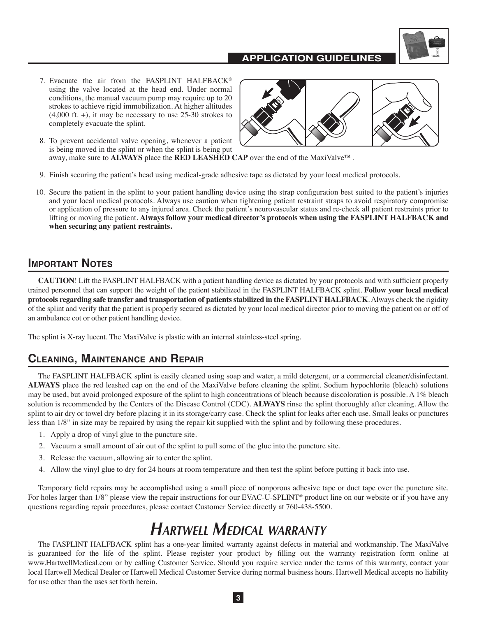#### **APPLICATION GUIDELINES**



- 7. Evacuate the air from the FASPLINT HALFBACK® using the valve located at the head end. Under normal conditions, the manual vacuum pump may require up to 20 strokes to achieve rigid immobilization. At higher altitudes  $(4,000 \text{ ft.} +)$ , it may be necessary to use 25-30 strokes to completely evacuate the splint.
- 8. To prevent accidental valve opening, whenever a patient is being moved in the splint or when the splint is being put away, make sure to **ALWAYS** place the **RED LEASHED CAP** over the end of the MaxiValve™.



- 9. Finish securing the patient's head using medical-grade adhesive tape as dictated by your local medical protocols.
- 10. Secure the patient in the splint to your patient handling device using the strap configuration best suited to the patient's injuries and your local medical protocols. Always use caution when tightening patient restraint straps to avoid respiratory compromise or application of pressure to any injured area. Check the patient's neurovascular status and re-check all patient restraints prior to lifting or moving the patient. **Always follow your medical director's protocols when using the FASPLINT HALFBACK and when securing any patient restraints.**

#### **Important Notes**

**CAUTION**! Lift the FASPLINT HALFBACK with a patient handling device as dictated by your protocols and with sufficient properly trained personnel that can support the weight of the patient stabilized in the FASPLINT HALFBACK splint. **Follow your local medical protocols regarding safe transfer and transportation of patients stabilized in the FASPLINT HALFBACK**. Always check the rigidity of the splint and verify that the patient is properly secured as dictated by your local medical director prior to moving the patient on or off of an ambulance cot or other patient handling device.

The splint is X-ray lucent. The MaxiValve is plastic with an internal stainless-steel spring.

### **Cleaning, Maintenance and Repair**

The FASPLINT HALFBACK splint is easily cleaned using soap and water, a mild detergent, or a commercial cleaner/disinfectant. **ALWAYS** place the red leashed cap on the end of the MaxiValve before cleaning the splint. Sodium hypochlorite (bleach) solutions may be used, but avoid prolonged exposure of the splint to high concentrations of bleach because discoloration is possible. A 1% bleach solution is recommended by the Centers of the Disease Control (CDC). **ALWAYS** rinse the splint thoroughly after cleaning. Allow the splint to air dry or towel dry before placing it in its storage/carry case. Check the splint for leaks after each use. Small leaks or punctures less than 1/8" in size may be repaired by using the repair kit supplied with the splint and by following these procedures.

- 1. Apply a drop of vinyl glue to the puncture site.
- 2. Vacuum a small amount of air out of the splint to pull some of the glue into the puncture site.
- 3. Release the vacuum, allowing air to enter the splint.
- 4. Allow the vinyl glue to dry for 24 hours at room temperature and then test the splint before putting it back into use.

Temporary field repairs may be accomplished using a small piece of nonporous adhesive tape or duct tape over the puncture site. For holes larger than  $1/8$ " please view the repair instructions for our EVAC-U-SPLINT® product line on our website or if you have any questions regarding repair procedures, please contact Customer Service directly at 760-438-5500.

## *Hartwell Medical warranty*

The FASPLINT HALFBACK splint has a one-year limited warranty against defects in material and workmanship. The MaxiValve is guaranteed for the life of the splint. Please register your product by filling out the warranty registration form online at www.HartwellMedical.com or by calling Customer Service. Should you require service under the terms of this warranty, contact your local Hartwell Medical Dealer or Hartwell Medical Customer Service during normal business hours. Hartwell Medical accepts no liability for use other than the uses set forth herein.

**3**